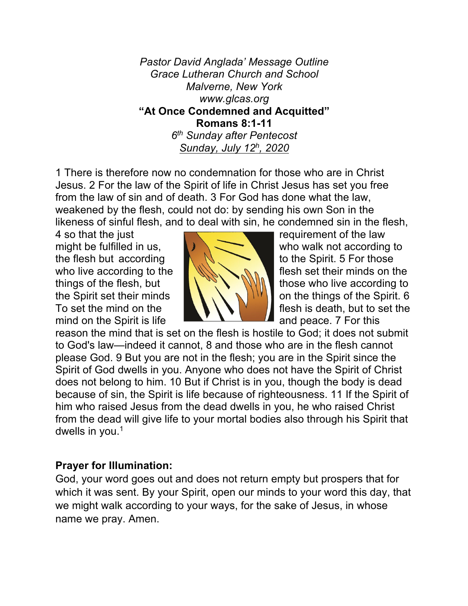*Pastor David Anglada' Message Outline Grace Lutheran Church and School Malverne, New York www.glcas.org* **"At Once Condemned and Acquitted" Romans 8:1-11** *6th Sunday after Pentecost Sunday, July 12h , 2020* 

1 There is therefore now no condemnation for those who are in Christ Jesus. 2 For the law of the Spirit of life in Christ Jesus has set you free from the law of sin and of death. 3 For God has done what the law, weakened by the flesh, could not do: by sending his own Son in the likeness of sinful flesh, and to deal with sin, he condemned sin in the flesh,

4 so that the just **requirement of the law** the flesh but according  $\mathbb{N}$ ,  $\mathbb{N}$  to the Spirit. 5 For those mind on the Spirit is life  $\begin{array}{ccc} \hline \hline \end{array}$  and peace. 7 For this



might be fulfilled in us,  $\sqrt{2}$  who walk not according to who live according to the flesh set their minds on the things of the flesh, but  $\mathbb{R} \setminus \mathbb{R}$  those who live according to the Spirit set their minds  $\| \cdot \|$   $\|$   $\|$   $\|$  on the things of the Spirit. 6 To set the mind on the **fluid in the fluid in the flesh is death**, but to set the

reason the mind that is set on the flesh is hostile to God; it does not submit to God's law—indeed it cannot, 8 and those who are in the flesh cannot please God. 9 But you are not in the flesh; you are in the Spirit since the Spirit of God dwells in you. Anyone who does not have the Spirit of Christ does not belong to him. 10 But if Christ is in you, though the body is dead because of sin, the Spirit is life because of righteousness. 11 If the Spirit of him who raised Jesus from the dead dwells in you, he who raised Christ from the dead will give life to your mortal bodies also through his Spirit that dwells in you. $1$ 

## **Prayer for Illumination:**

God, your word goes out and does not return empty but prospers that for which it was sent. By your Spirit, open our minds to your word this day, that we might walk according to your ways, for the sake of Jesus, in whose name we pray. Amen.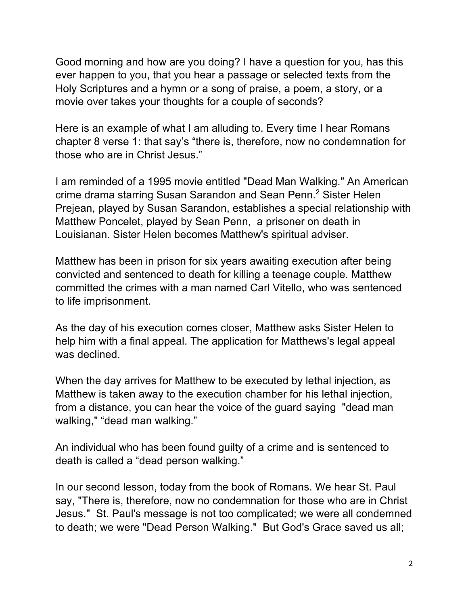Good morning and how are you doing? I have a question for you, has this ever happen to you, that you hear a passage or selected texts from the Holy Scriptures and a hymn or a song of praise, a poem, a story, or a movie over takes your thoughts for a couple of seconds?

Here is an example of what I am alluding to. Every time I hear Romans chapter 8 verse 1: that say's "there is, therefore, now no condemnation for those who are in Christ Jesus."

I am reminded of a 1995 movie entitled "Dead Man Walking." An American crime drama starring Susan Sarandon and Sean Penn.2 Sister Helen Prejean, played by Susan Sarandon, establishes a special relationship with Matthew Poncelet, played by Sean Penn, a prisoner on death in Louisianan. Sister Helen becomes Matthew's spiritual adviser.

Matthew has been in prison for six years awaiting execution after being convicted and sentenced to death for killing a teenage couple. Matthew committed the crimes with a man named Carl Vitello, who was sentenced to life imprisonment.

As the day of his execution comes closer, Matthew asks Sister Helen to help him with a final appeal. The application for Matthews's legal appeal was declined.

When the day arrives for Matthew to be executed by lethal injection, as Matthew is taken away to the execution chamber for his lethal injection, from a distance, you can hear the voice of the guard saying "dead man walking," "dead man walking."

An individual who has been found guilty of a crime and is sentenced to death is called a "dead person walking."

In our second lesson, today from the book of Romans. We hear St. Paul say, "There is, therefore, now no condemnation for those who are in Christ Jesus." St. Paul's message is not too complicated; we were all condemned to death; we were "Dead Person Walking." But God's Grace saved us all;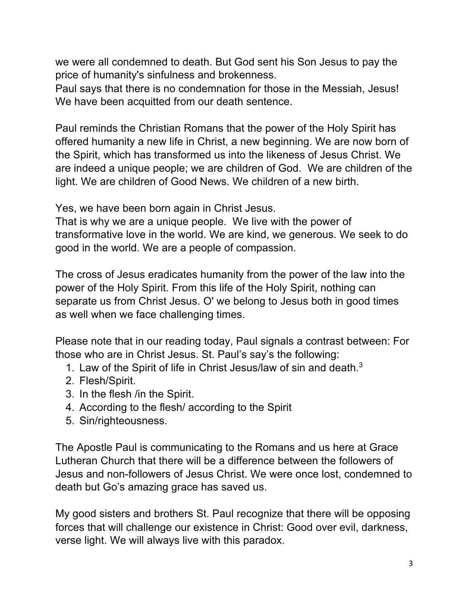we were all condemned to death. But God sent his Son Jesus to pay the price of humanity's sinfulness and brokenness.

Paul says that there is no condemnation for those in the Messiah, Jesus! We have been acquitted from our death sentence.

Paul reminds the Christian Romans that the power of the Holy Spirit has offered humanity a new life in Christ, a new beginning. We are now born of the Spirit, which has transformed us into the likeness of Jesus Christ. We are indeed a unique people; we are children of God. We are children of the light. We are children of Good News. We children of a new birth.

Yes, we have been born again in Christ Jesus.

That is why we are a unique people. We live with the power of transformative love in the world. We are kind, we generous. We seek to do good in the world. We are a people of compassion.

The cross of Jesus eradicates humanity from the power of the law into the power of the Holy Spirit. From this life of the Holy Spirit, nothing can separate us from Christ Jesus. O' we belong to Jesus both in good times as well when we face challenging times.

Please note that in our reading today, Paul signals a contrast between: For those who are in Christ Jesus. St. Paul's say's the following:

- 1. Law of the Spirit of life in Christ Jesus/law of sin and death.<sup>3</sup>
- 2. Flesh/Spirit.
- 3. In the flesh /in the Spirit.
- 4. According to the flesh/ according to the Spirit
- 5. Sin/righteousness.

The Apostle Paul is communicating to the Romans and us here at Grace Lutheran Church that there will be a difference between the followers of Jesus and non-followers of Jesus Christ. We were once lost, condemned to death but Go's amazing grace has saved us.

My good sisters and brothers St. Paul recognize that there will be opposing forces that will challenge our existence in Christ: Good over evil, darkness, verse light. We will always live with this paradox.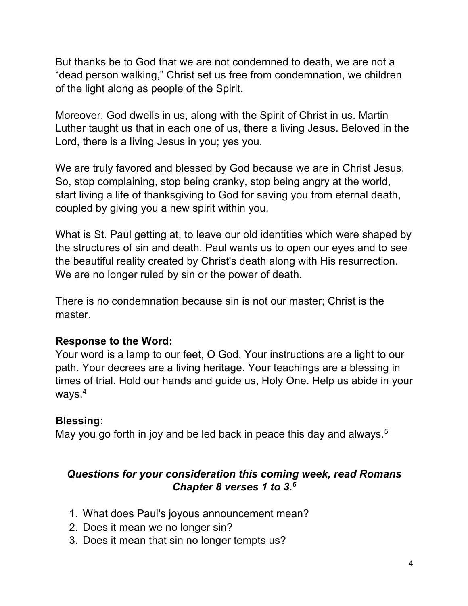But thanks be to God that we are not condemned to death, we are not a "dead person walking," Christ set us free from condemnation, we children of the light along as people of the Spirit.

Moreover, God dwells in us, along with the Spirit of Christ in us. Martin Luther taught us that in each one of us, there a living Jesus. Beloved in the Lord, there is a living Jesus in you; yes you.

We are truly favored and blessed by God because we are in Christ Jesus. So, stop complaining, stop being cranky, stop being angry at the world, start living a life of thanksgiving to God for saving you from eternal death, coupled by giving you a new spirit within you.

What is St. Paul getting at, to leave our old identities which were shaped by the structures of sin and death. Paul wants us to open our eyes and to see the beautiful reality created by Christ's death along with His resurrection. We are no longer ruled by sin or the power of death.

There is no condemnation because sin is not our master; Christ is the master.

## **Response to the Word:**

Your word is a lamp to our feet, O God. Your instructions are a light to our path. Your decrees are a living heritage. Your teachings are a blessing in times of trial. Hold our hands and guide us, Holy One. Help us abide in your ways.<sup>4</sup>

## **Blessing:**

May you go forth in joy and be led back in peace this day and always.<sup>5</sup>

# *Questions for your consideration this coming week, read Romans Chapter 8 verses 1 to 3.6*

- 1. What does Paul's joyous announcement mean?
- 2. Does it mean we no longer sin?
- 3. Does it mean that sin no longer tempts us?